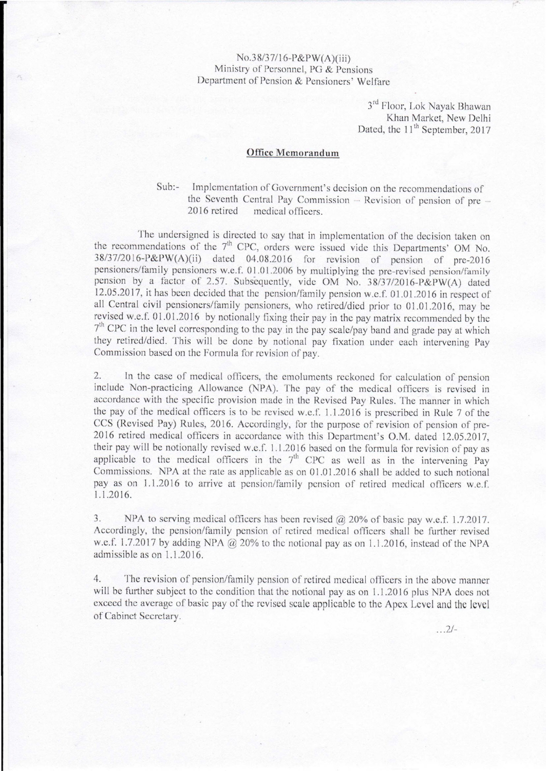## No.38/37116-P&PW(A)(iii) Ministry or Personnel, PG & Pensions Department of Pension & Pensioners' Welfare

3<sup>rd</sup> Floor, Lok Nayak Bhawan Khan Market, New Delhi Dated, the 11<sup>th</sup> September, 2017

## **Office Memorandum**

Sub:- Implementation of Government's decision on the recommendations of the Seventh Central Pay Commission  $-$  Revision of pension of pre $-$ 2016 retired medical officers.

The undersigned is directed to say that in implementation of the decision taken on the recommendations of the  $7<sup>th</sup>$  CPC, orders were issued vide this Departments' OM No. 38/37/20l6-P&PW(A)(ii) dated 04.08.2016 for revision of pension of pre-2016 pensioners/family pensioners w.e.f. 01.01.2006 by multiplying the pre-revised pension/family pension by a factor of 2.57. Subsequently, vide OM No. 38/37/2016-P&PW(A) dated 12.05.2017, it has been decided that the pension/family pension w.e.f. 01.01.2016 in respect of all Central civil pensioners/family pensioners, who retired/died prior to 01.0 1.2016, may be revised w.e.f. 01.01.20 I6 by notionally fixing their pay in the pay matrix recommended by the re<br>7 <sup>th</sup> CPC in the level corresponding to the pay in the pay scale/pay band and grade pay at which they retired/died. This will be done by notional pay fixation under each intervening Pay Commission based on the Formula for revision of pay.

2. In the case of medical officers, the emoluments reckoned for calculation of pension include Non-practicing Allowance (NPA). The pay of the medical officers is revised in accordance with the specific provision made in the Revised Pay Rules. The manner in which the pay of the medical officers is to be revised w.e.f. 1.1.2016 is prescribed in Rule 7 of the CCS (Revised Pay) Rules, 2016. Accordingly, for the purpose of revision of pension of pre-2016 retired medical officers in accordance with this Department's O.M. dated 12.05.2017, their pay will be notionally revised w.c.f 1.1.2016 based on the formula for revision of pay as applicable to the medical officers in the  $7<sup>th</sup>$  CPC as well as in the intervening Pay Commissions. NPA at the rate as applicable as on  $01.01.2016$  shall be added to such notional pay as on 1.1.2016 to arrive at pension/family pension of retired medical officers w.e.f. 1.1.2016.

3. NPA to serving medical officers has been revised @ 20% of basic pay w.e.f. 1.7.2017. Accordingly, the pension/family pension of retired medical officers shall be further revised w.e.f. 1.7.2017 by adding NPA  $@$  20% to the notional pay as on 1.1.2016, instead of the NPA admissible as on 1.1.2016.

4. The revision of pension/family pension of retired medical officers in the above manner will be further subject to the condition that the notional pay as on 1.1.2016 plus NPA does not exceed the average of basic pay of the revised scale applicable to the Apex Level and the level of Cabinet Secretary.

 $. . . 2/-$